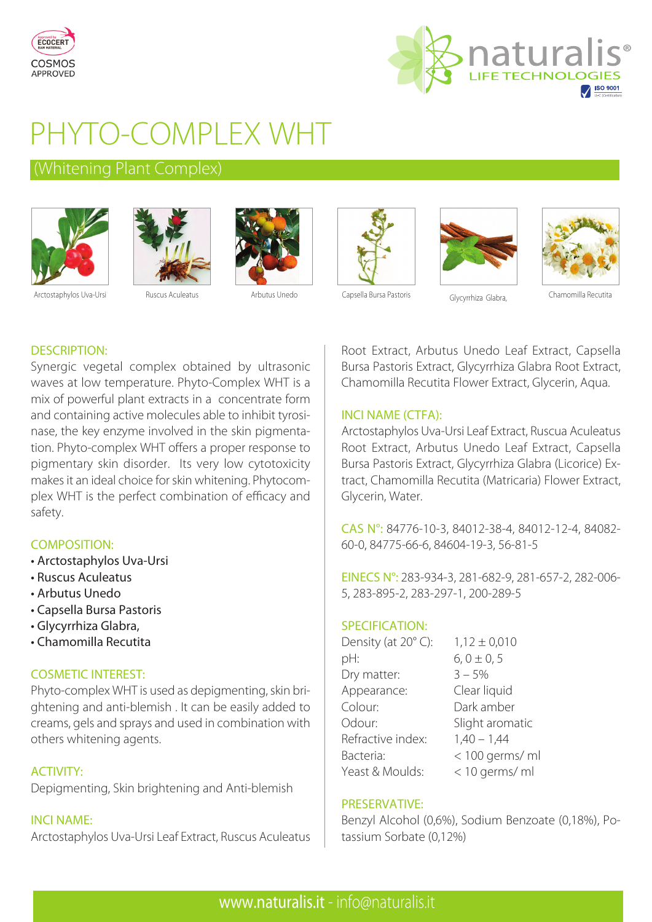



# PHYTO-COMPLEX WHT

# (Whitening Plant Complex)











# Arctostaphylos Uva-Ursi Ruscus Aculeatus Arbutus Unedo Capsella Bursa Pastoris Glycyrrhiza Glabra, Chamomilla Recutita

# DESCRIPTION:

Synergic vegetal complex obtained by ultrasonic waves at low temperature. Phyto-Complex WHT is a mix of powerful plant extracts in a concentrate form and containing active molecules able to inhibit tyrosinase, the key enzyme involved in the skin pigmentation. Phyto-complex WHT offers a proper response to pigmentary skin disorder. Its very low cytotoxicity makes it an ideal choice for skin whitening. Phytocomplex WHT is the perfect combination of efficacy and safety.

# COMPOSITION:

- Arctostaphylos Uva-Ursi
- Ruscus Aculeatus
- Arbutus Unedo
- Capsella Bursa Pastoris
- Glycyrrhiza Glabra,
- Chamomilla Recutita

## COSMETIC INTEREST:

Phyto-complex WHT is used as depigmenting, skin brightening and anti-blemish . It can be easily added to creams, gels and sprays and used in combination with others whitening agents.

## ACTIVITY:

Depigmenting, Skin brightening and Anti-blemish

# INCI NAME:

Arctostaphylos Uva-Ursi Leaf Extract, Ruscus Aculeatus

Root Extract, Arbutus Unedo Leaf Extract, Capsella Bursa Pastoris Extract, Glycyrrhiza Glabra Root Extract, Chamomilla Recutita Flower Extract, Glycerin, Aqua.

#### INCI NAME (CTFA):

Arctostaphylos Uva-Ursi Leaf Extract, Ruscua Aculeatus Root Extract, Arbutus Unedo Leaf Extract, Capsella Bursa Pastoris Extract, Glycyrrhiza Glabra (Licorice) Extract, Chamomilla Recutita (Matricaria) Flower Extract, Glycerin, Water.

CAS N°: 84776-10-3, 84012-38-4, 84012-12-4, 84082- 60-0, 84775-66-6, 84604-19-3, 56-81-5

EINECS N°: 283-934-3, 281-682-9, 281-657-2, 282-006- 5, 283-895-2, 283-297-1, 200-289-5

#### SPECIFICATION:

| Density (at 20°C): | $1,12 \pm 0,010$ |
|--------------------|------------------|
| pH:                | $6, 0 \pm 0, 5$  |
| Dry matter:        | $3 - 5%$         |
| Appearance:        | Clear liquid     |
| Colour:            | Dark amber       |
| Odour:             | Slight aromatic  |
| Refractive index:  | $1,40 - 1,44$    |
| Bacteria:          | < 100 germs/ ml  |
| Yeast & Moulds:    | < 10 germs/ ml   |

## PRESERVATIVE:

Benzyl Alcohol (0,6%), Sodium Benzoate (0,18%), Potassium Sorbate (0,12%)